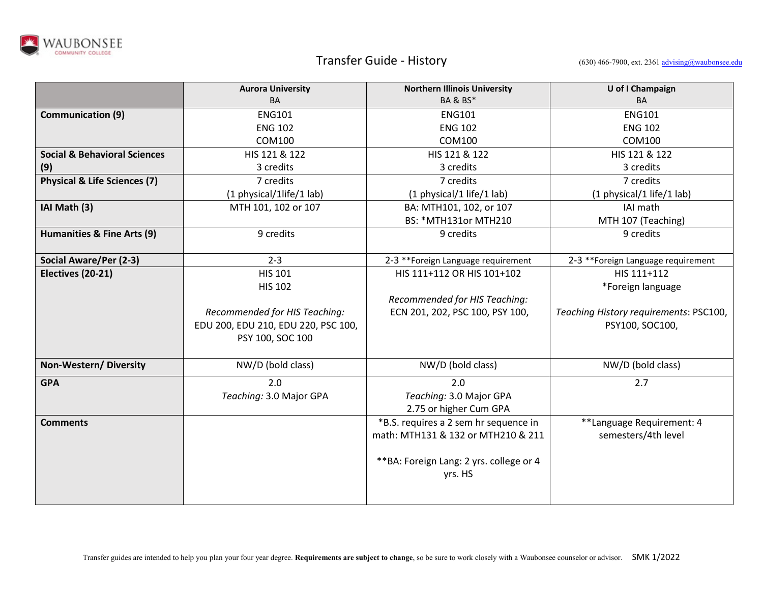

Transfer Guide - History (630) 466-7900, ext. 2361 [advising@waubonsee.edu](mailto:advising@waubonsee.edu)

|                                         | <b>Aurora University</b>            | <b>Northern Illinois University</b>      | U of I Champaign                       |
|-----------------------------------------|-------------------------------------|------------------------------------------|----------------------------------------|
|                                         | BA                                  | BA & BS*                                 | BA                                     |
| <b>Communication (9)</b>                | <b>ENG101</b>                       | <b>ENG101</b>                            | <b>ENG101</b>                          |
|                                         | <b>ENG 102</b>                      | <b>ENG 102</b>                           | <b>ENG 102</b>                         |
|                                         | COM100                              | COM100                                   | COM100                                 |
| <b>Social &amp; Behavioral Sciences</b> | HIS 121 & 122                       | HIS 121 & 122                            | HIS 121 & 122                          |
| (9)                                     | 3 credits                           | 3 credits                                | 3 credits                              |
| <b>Physical &amp; Life Sciences (7)</b> | 7 credits                           | 7 credits                                | 7 credits                              |
|                                         | (1 physical/1life/1 lab)            | (1 physical/1 life/1 lab)                | (1 physical/1 life/1 lab)              |
| IAI Math (3)                            | MTH 101, 102 or 107                 | BA: MTH101, 102, or 107                  | IAI math                               |
|                                         |                                     | <b>BS: *MTH131or MTH210</b>              | MTH 107 (Teaching)                     |
| Humanities & Fine Arts (9)              | 9 credits                           | 9 credits                                | 9 credits                              |
| Social Aware/Per (2-3)                  | $2 - 3$                             | 2-3 ** Foreign Language requirement      | 2-3 ** Foreign Language requirement    |
| Electives (20-21)                       | <b>HIS 101</b>                      | HIS 111+112 OR HIS 101+102               | HIS 111+112                            |
|                                         | <b>HIS 102</b>                      |                                          | *Foreign language                      |
|                                         |                                     | Recommended for HIS Teaching:            |                                        |
|                                         | Recommended for HIS Teaching:       | ECN 201, 202, PSC 100, PSY 100,          | Teaching History requirements: PSC100, |
|                                         | EDU 200, EDU 210, EDU 220, PSC 100, |                                          | PSY100, SOC100,                        |
|                                         | PSY 100, SOC 100                    |                                          |                                        |
|                                         |                                     |                                          |                                        |
| Non-Western/Diversity                   | NW/D (bold class)                   | NW/D (bold class)                        | NW/D (bold class)                      |
| <b>GPA</b>                              | 2.0                                 | 2.0                                      | 2.7                                    |
|                                         | Teaching: 3.0 Major GPA             | Teaching: 3.0 Major GPA                  |                                        |
|                                         |                                     | 2.75 or higher Cum GPA                   |                                        |
| <b>Comments</b>                         |                                     | *B.S. requires a 2 sem hr sequence in    | **Language Requirement: 4              |
|                                         |                                     | math: MTH131 & 132 or MTH210 & 211       | semesters/4th level                    |
|                                         |                                     |                                          |                                        |
|                                         |                                     | ** BA: Foreign Lang: 2 yrs. college or 4 |                                        |
|                                         |                                     | yrs. HS                                  |                                        |
|                                         |                                     |                                          |                                        |
|                                         |                                     |                                          |                                        |